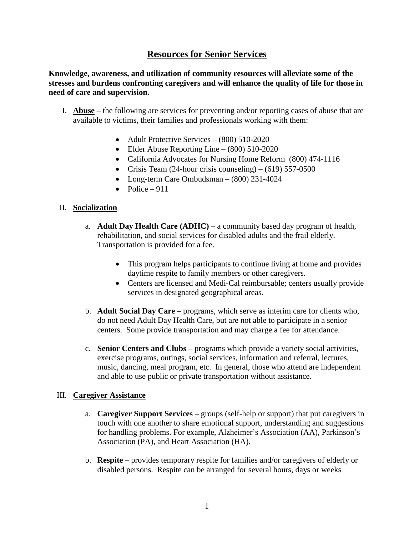# **Resources for Senior Services**

**Knowledge, awareness, and utilization of community resources will alleviate some of the stresses and burdens confronting caregivers and will enhance the quality of life for those in need of care and supervision.**

- I. **Abuse** the following are services for preventing and/or reporting cases of abuse that are available to victims, their families and professionals working with them:
	- Adult Protective Services (800) 510-2020
	- Elder Abuse Reporting Line (800) 510-2020
	- California Advocates for Nursing Home Reform (800) 474-1116
	- Crisis Team (24-hour crisis counseling) (619) 557-0500
	- Long-term Care Ombudsman (800) 231-4024
	- Police  $-911$

#### II. **Socialization**

- a. **Adult Day Health Care (ADHC)** a community based day program of health, rehabilitation, and social services for disabled adults and the frail elderly. Transportation is provided for a fee.
	- This program helps participants to continue living at home and provides daytime respite to family members or other caregivers.
	- Centers are licensed and Medi-Cal reimbursable; centers usually provide services in designated geographical areas.
- b. **Adult Social Day Care** programs, which serve as interim care for clients who, do not need Adult Day Health Care, but are not able to participate in a senior centers. Some provide transportation and may charge a fee for attendance.
- c. **Senior Centers and Clubs** programs which provide a variety social activities, exercise programs, outings, social services, information and referral, lectures, music, dancing, meal program, etc. In general, those who attend are independent and able to use public or private transportation without assistance.

#### III. **Caregiver Assistance**

- a. **Caregiver Support Services**  groups (self-help or support) that put caregivers in touch with one another to share emotional support, understanding and suggestions for handling problems. For example, Alzheimer's Association (AA), Parkinson's Association (PA), and Heart Association (HA).
- b. **Respite**  provides temporary respite for families and/or caregivers of elderly or disabled persons. Respite can be arranged for several hours, days or weeks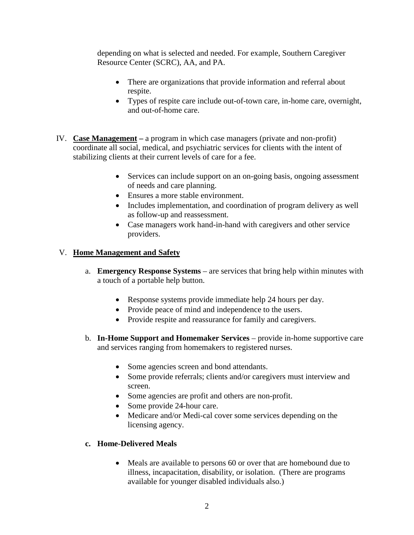depending on what is selected and needed. For example, Southern Caregiver Resource Center (SCRC), AA, and PA.

- There are organizations that provide information and referral about respite.
- Types of respite care include out-of-town care, in-home care, overnight, and out-of-home care.
- IV. **Case Management –** a program in which case managers (private and non-profit) coordinate all social, medical, and psychiatric services for clients with the intent of stabilizing clients at their current levels of care for a fee.
	- Services can include support on an on-going basis, ongoing assessment of needs and care planning.
	- Ensures a more stable environment.
	- Includes implementation, and coordination of program delivery as well as follow-up and reassessment.
	- Case managers work hand-in-hand with caregivers and other service providers.

## V. **Home Management and Safety**

- a. **Emergency Response Systems** are services that bring help within minutes with a touch of a portable help button.
	- Response systems provide immediate help 24 hours per day.
	- Provide peace of mind and independence to the users.
	- Provide respite and reassurance for family and caregivers.
- b. **In-Home Support and Homemaker Services** provide in-home supportive care and services ranging from homemakers to registered nurses.
	- Some agencies screen and bond attendants.
	- Some provide referrals; clients and/or caregivers must interview and screen.
	- Some agencies are profit and others are non-profit.
	- Some provide 24-hour care.
	- Medicare and/or Medi-cal cover some services depending on the licensing agency.

### **c. Home-Delivered Meals**

• Meals are available to persons 60 or over that are homebound due to illness, incapacitation, disability, or isolation. (There are programs available for younger disabled individuals also.)